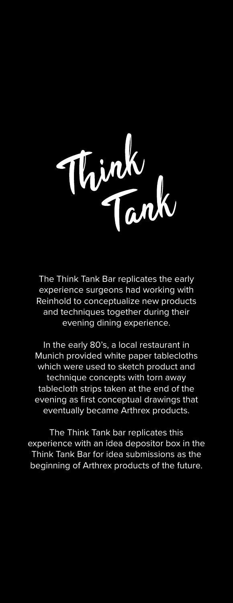

The Think Tank Bar replicates the early experience surgeons had working with Reinhold to conceptualize new products and techniques together during their evening dining experience.

In the early 80's, a local restaurant in Munich provided white paper tablecloths which were used to sketch product and technique concepts with torn away tablecloth strips taken at the end of the evening as first conceptual drawings that eventually became Arthrex products.

The Think Tank bar replicates this experience with an idea depositor box in the Think Tank Bar for idea submissions as the beginning of Arthrex products of the future.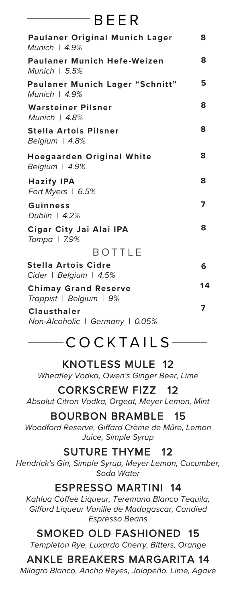| $-$ <code>BEER</code> $-$                                     |    |
|---------------------------------------------------------------|----|
| <b>Paulaner Original Munich Lager</b><br>Munich $\mid$ 4.9%   | 8  |
| <b>Paulaner Munich Hefe-Weizen</b><br>Munich $\vert$ 5.5%     | 8  |
| <b>Paulaner Munich Lager "Schnitt"</b><br>Munich $\vert$ 4.9% | 5  |
| <b>Warsteiner Pilsner</b><br>Munich $ 4.8%$                   | 8  |
| <b>Stella Artois Pilsner</b><br>Belgium   4.8%                | 8  |
| <b>Hoegaarden Original White</b><br>Belgium   4.9%            | 8  |
| <b>Hazify IPA</b><br>Fort Myers   6.5%                        | 8  |
| <b>Guinness</b><br>Dublin   $4.2%$                            | 7  |
| Cigar City Jai Alai IPA<br>Tampa   7.9%                       | 8  |
| <b>BOTTLE</b>                                                 |    |
| Stella Artois Cidre<br>Cider   Belgium   4.5%                 | 6  |
| <b>Chimay Grand Reserve</b><br>Trappist   Belgium   9%        | 14 |
| Clausthaler<br>Non-Alcoholic   Germany   0.05%                | 7  |

# $-C$  O C K T A I L S  $-$

KNOTLESS MULE 12 Wheatley Vodka, Owen's Ginger Beer, Lime

CORKSCREW FIZZ 12 Absolut Citron Vodka, Orgeat, Meyer Lemon, Mint

#### BOURBON BRAMBLE 15

Woodford Reserve, Giffard Crème de Mûre, Lemon Juice, Simple Syrup

#### SUTURE THYME 12

Hendrick's Gin, Simple Syrup, Meyer Lemon, Cucumber, Soda Water

### ESPRESSO MARTINI 14

Kahlua Coffee Liqueur, Teremana Blanco Tequila, Giffard Liqueur Vanille de Madagascar, Candied Espresso Beans

## SMOKED OLD FASHIONED 15

Templeton Rye, Luxardo Cherry, Bitters, Orange

### ANKLE BREAKERS MARGARITA 14

Milagro Blanco, Ancho Reyes, Jalapeño, Lime, Agave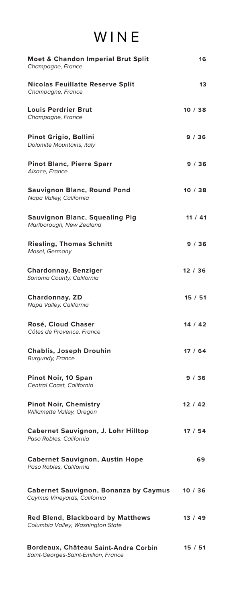| WINE                                                                         |         |  |
|------------------------------------------------------------------------------|---------|--|
| <b>Moet &amp; Chandon Imperial Brut Split</b><br>Champagne, France           | 16      |  |
| <b>Nicolas Feuillatte Reserve Split</b><br>Champagne, France                 | 13      |  |
| <b>Louis Perdrier Brut</b><br>Champagne, France                              | 10/38   |  |
| <b>Pinot Grigio, Bollini</b><br>Dolomite Mountains, italy                    | 9/36    |  |
| <b>Pinot Blanc, Pierre Sparr</b><br>Alsace, France                           | 9/36    |  |
| <b>Sauvignon Blanc, Round Pond</b><br>Napa Valley, California                | 10/38   |  |
| <b>Sauvignon Blanc, Squealing Pig</b><br>Marlborough, New Zealand            | 11 / 41 |  |
| <b>Riesling, Thomas Schnitt</b><br>Mosel, Germany                            | 9/36    |  |
| <b>Chardonnay, Benziger</b><br>Sonoma County, California                     | 12/36   |  |
| Chardonnay, ZD<br>Napa Valley, California                                    | 15/51   |  |
| Rosé, Cloud Chaser<br>Côtes de Provence, France                              | 14/42   |  |
| <b>Chablis, Joseph Drouhin</b><br><b>Burgundy, France</b>                    | 17/64   |  |
| Pinot Noir, 10 Span<br>Central Coast, California                             | 9 / 36  |  |
| <b>Pinot Noir, Chemistry</b><br>Willamette Valley, Oregon                    | 12/42   |  |
| <b>Cabernet Sauvignon, J. Lohr Hilltop</b><br>Paso Robles, California        | 17/54   |  |
| <b>Cabernet Sauvignon, Austin Hope</b><br>Paso Robles, California            | 69      |  |
| <b>Cabernet Sauvignon, Bonanza by Caymus</b><br>Caymus Vineyards, California | 10/36   |  |
| Red Blend, Blackboard by Matthews<br>Columbia Valley, Washington State       | 13/49   |  |
| Bordeaux, Château Saint-Andre Corbin                                         | 15/51   |  |

Saint-Georges-Saint-Emilion*, France*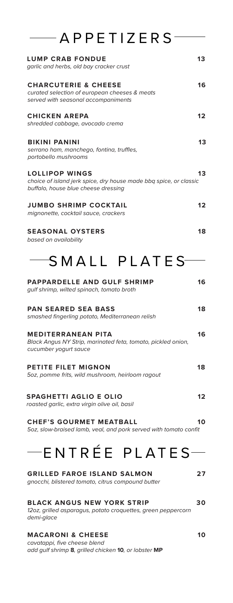| $\longrightarrow$ APPETIZERS                                                                                                      |    |
|-----------------------------------------------------------------------------------------------------------------------------------|----|
| <b>LUMP CRAB FONDUE</b><br>garlic and herbs, old bay cracker crust                                                                | 13 |
| <b>CHARCUTERIE &amp; CHEESE</b><br>curated selection of european cheeses & meats<br>served with seasonal accompaniments           | 16 |
| <b>CHICKEN AREPA</b><br>shredded cabbage, avocado crema                                                                           | 12 |
| <b>BIKINI PANINI</b><br>serrano ham, manchego, fontina, truffles,<br>portobello mushrooms                                         | 13 |
| <b>LOLLIPOP WINGS</b><br>choice of island jerk spice, dry house made bbq spice, or classic<br>buffalo, house blue cheese dressing | 13 |
| <b>JUMBO SHRIMP COCKTAIL</b><br>mignonette, cocktail sauce, crackers                                                              | 12 |
| <b>SEASONAL OYSTERS</b><br>based on availability                                                                                  | 18 |
| $\fbox{SMALL PLATES}$                                                                                                             |    |
| <b>PAPPARDELLE AND GULF SHRIMP</b><br>gulf shrimp, wilted spinach, tomato broth                                                   | 16 |
| <b>PAN SEARED SEA BASS</b><br>smashed fingerling potato, Mediterranean relish                                                     | 18 |
| <b>MEDITERRANEAN PITA</b><br>Black Angus NY Strip, marinated feta, tomato, pickled onion,<br>cucumber yogurt sauce                | 16 |
| PETITE FILET MIGNON<br>5oz, pomme frits, wild mushroom, heirloom ragout                                                           | 18 |
| SPAGHETTI AGLIO E OLIO<br>roasted garlic, extra virgin olive oil, basil                                                           | 12 |
| <b>CHEF'S GOURMET MEATBALL</b><br>5oz, slow-braised lamb, veal, and pork served with tomato confit                                | 10 |
| $-$ ENTRÉE PLATES $-$                                                                                                             |    |
| <b>GRILLED FAROE ISLAND SALMON</b><br>gnocchi, blistered tomato, citrus compound butter                                           | 27 |
| <b>BLACK ANGUS NEW YORK STRIP</b><br>12oz, grilled asparagus, potato croquettes, green peppercorn<br>demi-glace                   | 30 |
| <b>MACARONI &amp; CHEESE</b><br>cavatappi, five cheese blend<br>add gulf shrimp 8, grilled chicken 10, or lobster MP              | 10 |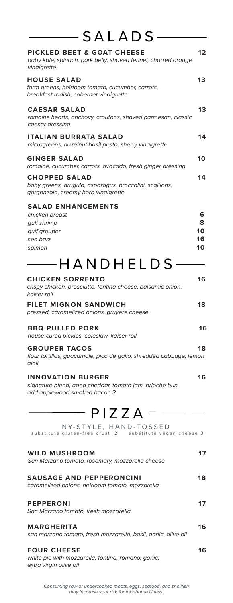| -SALADS                                                                                                                |          |
|------------------------------------------------------------------------------------------------------------------------|----------|
| PICKLED BEET & GOAT CHEESE<br>baby kale, spinach, pork belly, shaved fennel, charred orange<br>vinaigrette             | 12       |
| <b>HOUSE SALAD</b><br>farm greens, heirloom tomato, cucumber, carrots,<br>breakfast radish, cabernet vinaigrette       | 13       |
| <b>CAESAR SALAD</b><br>romaine hearts, anchovy, croutons, shaved parmesan, classic<br>caesar dressing                  | 13       |
| ITALIAN BURRATA SALAD<br>microgreens, hazelnut basil pesto, sherry vinaigrette                                         | 14       |
| <b>GINGER SALAD</b><br>romaine, cucumber, carrots, avocado, fresh ginger dressing                                      | 10       |
| <b>CHOPPED SALAD</b><br>baby greens, arugula, asparagus, broccolini, scallions,<br>gorgonzola, creamy herb vinaigrette | 14       |
| <b>SALAD ENHANCEMENTS</b><br>chicken breast                                                                            | 6        |
| qulf shrimp                                                                                                            | 8        |
| gulf grouper<br>sea bass                                                                                               | 10<br>16 |
| salmon                                                                                                                 | 10       |
| $-HANDHELDS$                                                                                                           |          |
| <b>CHICKEN SORRENTO</b><br>crispy chicken, prosciutto, fontina cheese, balsamic onion,<br>kaiser roll                  | 16       |
| <b>FILET MIGNON SANDWICH</b><br>pressed, caramelized onions, gruyere cheese                                            | 18       |
| <b>BBQ PULLED PORK</b><br>house-cured pickles, coleslaw, kaiser roll                                                   | 16       |
| <b>GROUPER TACOS</b><br>flour tortillas, quacamole, pico de gallo, shredded cabbage, lemon<br>aioli                    | 18       |
| <b>INNOVATION BURGER</b><br>signature blend, aged cheddar, tomato jam, brioche bun<br>add applewood smoked bacon 3     | 16       |
| $-$ PIZZA                                                                                                              |          |
| NY-STYLE, HAND-TOSSED<br>substitute gluten-free crust 2 substitute vegan cheese 3                                      |          |
| <b>WILD MUSHROOM</b><br>San Marzano tomato, rosemary, mozzarella cheese                                                | 17       |
| <b>SAUSAGE AND PEPPERONCINI</b><br>caramelized onions, heirloom tomato, mozzarella                                     | 18       |
| <b>PEPPERONI</b><br>San Marzano tomato, fresh mozzarella                                                               | 17       |
| <b>MARGHERITA</b><br>san marzano tomato, fresh mozzarella, basil, garlic, olive oil                                    | 16       |
| <b>FOUR CHEESE</b><br>white pie with mozzarella, fontina, romano, garlic,<br>extra virgin olive oil                    | 16       |

*Consuming raw or undercooked meats, eggs, seafood, and shellfish may increase your risk for foodborne illness.*